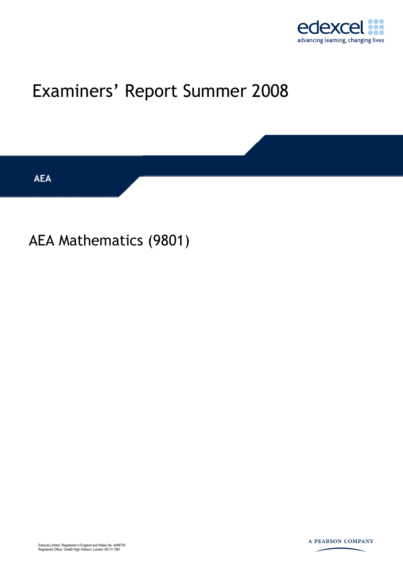

# Examiners' Report Summer 2008

**AEA** 

## AEA Mathematics (9801)

Edexcel Limited. Registered in England and Wales No. 4496750 Registered Office: One90 High Holborn, London WC1V 7BH

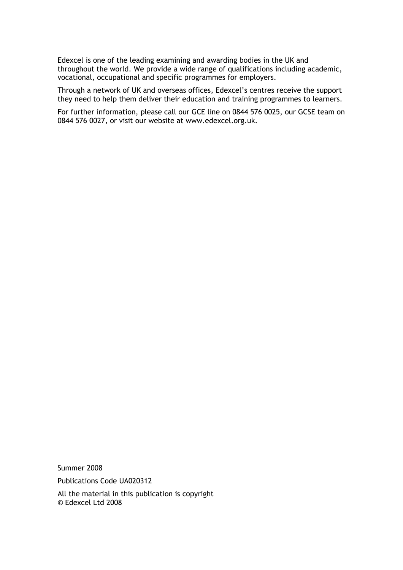Edexcel is one of the leading examining and awarding bodies in the UK and throughout the world. We provide a wide range of qualifications including academic, vocational, occupational and specific programmes for employers.

Through a network of UK and overseas offices, Edexcel's centres receive the support they need to help them deliver their education and training programmes to learners.

For further information, please call our GCE line on 0844 576 0025, our GCSE team on 0844 576 0027, or visit our website at www.edexcel.org.uk.

Summer 2008 Publications Code UA020312 All the material in this publication is copyright

© Edexcel Ltd 2008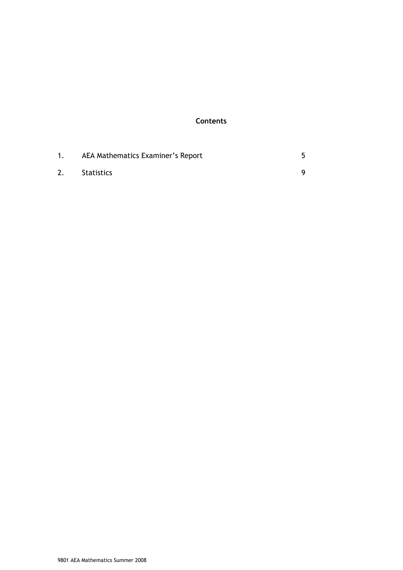#### **Contents**

| AEA Mathematics Examiner's Report |  |
|-----------------------------------|--|
| Statistics                        |  |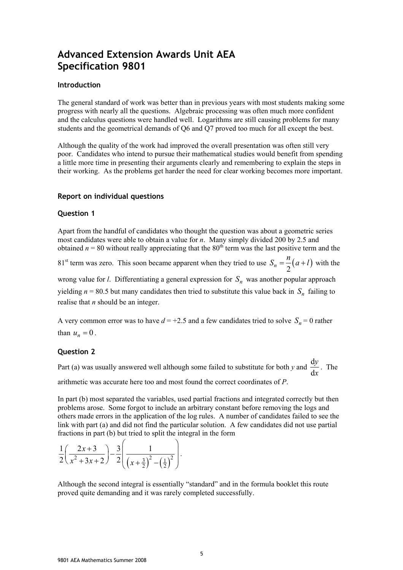### **Advanced Extension Awards Unit AEA Specification 9801**

#### **Introduction**

The general standard of work was better than in previous years with most students making some progress with nearly all the questions. Algebraic processing was often much more confident and the calculus questions were handled well. Logarithms are still causing problems for many students and the geometrical demands of Q6 and Q7 proved too much for all except the best.

Although the quality of the work had improved the overall presentation was often still very poor. Candidates who intend to pursue their mathematical studies would benefit from spending a little more time in presenting their arguments clearly and remembering to explain the steps in their working. As the problems get harder the need for clear working becomes more important.

#### **Report on individual questions**

#### **Question 1**

Apart from the handful of candidates who thought the question was about a geometric series most candidates were able to obtain a value for *n*. Many simply divided 200 by 2.5 and obtained  $n = 80$  without really appreciating that the  $80<sup>th</sup>$  term was the last positive term and the

81<sup>st</sup> term was zero. This soon became apparent when they tried to use  $S_n = \frac{n}{2} (a+l)$  with the

wrong value for *l*. Differentiating a general expression for  $S_n$  was another popular approach yielding  $n = 80.5$  but many candidates then tried to substitute this value back in  $S_n$  failing to realise that *n* should be an integer.

A very common error was to have  $d = +2.5$  and a few candidates tried to solve  $S_n = 0$  rather than  $u_n = 0$ .

#### **Question 2**

Part (a) was usually answered well although some failed to substitute for both *y* and  $\frac{d}{dx}$ d *y x* . The arithmetic was accurate here too and most found the correct coordinates of *P*.

In part (b) most separated the variables, used partial fractions and integrated correctly but then problems arose. Some forgot to include an arbitrary constant before removing the logs and others made errors in the application of the log rules. A number of candidates failed to see the link with part (a) and did not find the particular solution. A few candidates did not use partial fractions in part (b) but tried to split the integral in the form

$$
\frac{1}{2}\left(\frac{2x+3}{x^2+3x+2}\right)-\frac{3}{2}\left(\frac{1}{\left(x+\frac{3}{2}\right)^2-\left(\frac{1}{2}\right)^2}\right).
$$

Although the second integral is essentially "standard" and in the formula booklet this route proved quite demanding and it was rarely completed successfully.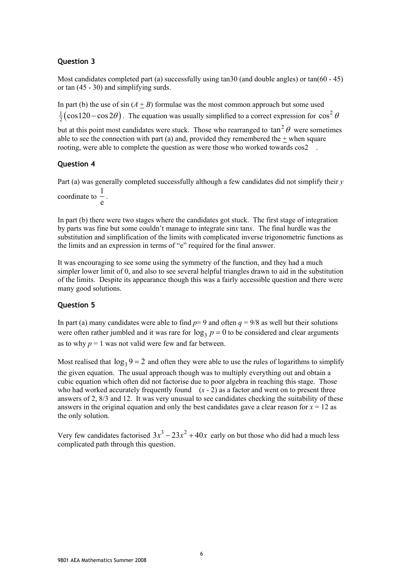#### **Question 3**

Most candidates completed part (a) successfully using tan30 (and double angles) or  $tan(60 - 45)$ or tan (45 - 30) and simplifying surds.

In part (b) the use of sin  $(A + B)$  formulae was the most common approach but some used  $\frac{1}{2}$ (cos120 – cos 2 $\theta$ ). The equation was usually simplified to a correct expression for cos<sup>2</sup>  $\theta$ but at this point most candidates were stuck. Those who rearranged to  $\tan^2 \theta$  were sometimes

able to see the connection with part (a) and, provided they remembered the  $+$  when square rooting, were able to complete the question as were those who worked towards  $\cos 2$ .

#### **Question 4**

Part (a) was generally completed successfully although a few candidates did not simplify their *y* coordinate to  $\frac{1}{1}$ .

e

In part (b) there were two stages where the candidates got stuck. The first stage of integration by parts was fine but some couldn't manage to integrate sin*x* tan*x*. The final hurdle was the substitution and simplification of the limits with complicated inverse trigonometric functions as the limits and an expression in terms of "e" required for the final answer.

It was encouraging to see some using the symmetry of the function, and they had a much simpler lower limit of 0, and also to see several helpful triangles drawn to aid in the substitution of the limits. Despite its appearance though this was a fairly accessible question and there were many good solutions.

#### **Question 5**

In part (a) many candidates were able to find  $p=9$  and often  $q=9/8$  as well but their solutions were often rather jumbled and it was rare for  $\log_3 p = 0$  to be considered and clear arguments as to why  $p = 1$  was not valid were few and far between.

Most realised that  $\log_3 9 = 2$  and often they were able to use the rules of logarithms to simplify the given equation. The usual approach though was to multiply everything out and obtain a cubic equation which often did not factorise due to poor algebra in reaching this stage. Those who had worked accurately frequently found  $(x - 2)$  as a factor and went on to present three answers of 2, 8/3 and 12. It was very unusual to see candidates checking the suitability of these answers in the original equation and only the best candidates gave a clear reason for  $x = 12$  as the only solution.

Very few candidates factorised  $3x^3 - 23x^2 + 40x$  early on but those who did had a much less complicated path through this question.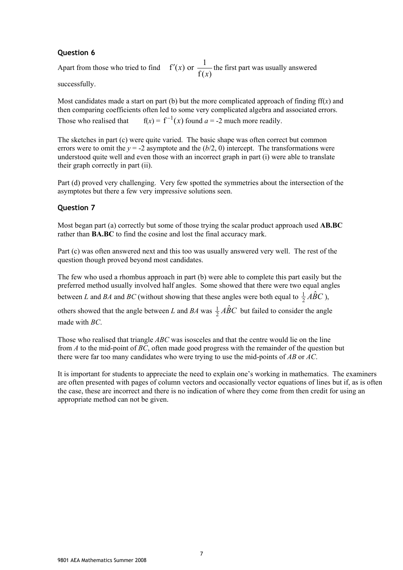#### **Question 6**

Apart from those who tried to find  $f'(x)$  or  $\frac{1}{f(x)}$  the first part was usually answered

successfully.

Most candidates made a start on part (b) but the more complicated approach of finding  $f(x)$  and then comparing coefficients often led to some very complicated algebra and associated errors. Those who realised that  $f(x) = f^{-1}(x)$  found  $a = -2$  much more readily.

The sketches in part (c) were quite varied. The basic shape was often correct but common errors were to omit the  $y = -2$  asymptote and the  $(b/2, 0)$  intercept. The transformations were understood quite well and even those with an incorrect graph in part (i) were able to translate their graph correctly in part (ii).

Part (d) proved very challenging. Very few spotted the symmetries about the intersection of the asymptotes but there a few very impressive solutions seen.

#### **Question 7**

Most began part (a) correctly but some of those trying the scalar product approach used **AB.BC** rather than **BA.BC** to find the cosine and lost the final accuracy mark.

Part (c) was often answered next and this too was usually answered very well. The rest of the question though proved beyond most candidates.

The few who used a rhombus approach in part (b) were able to complete this part easily but the preferred method usually involved half angles. Some showed that there were two equal angles between *L* and *BA* and *BC* (without showing that these angles were both equal to  $\frac{1}{2} \hat{A} \hat{B} C$ ),

others showed that the angle between *L* and *BA* was  $\frac{1}{2} \angle ABC$  but failed to consider the angle made with *BC*.

Those who realised that triangle *ABC* was isosceles and that the centre would lie on the line from *A* to the mid-point of *BC*, often made good progress with the remainder of the question but there were far too many candidates who were trying to use the mid-points of *AB* or *AC*.

It is important for students to appreciate the need to explain one's working in mathematics. The examiners are often presented with pages of column vectors and occasionally vector equations of lines but if, as is often the case, these are incorrect and there is no indication of where they come from then credit for using an appropriate method can not be given.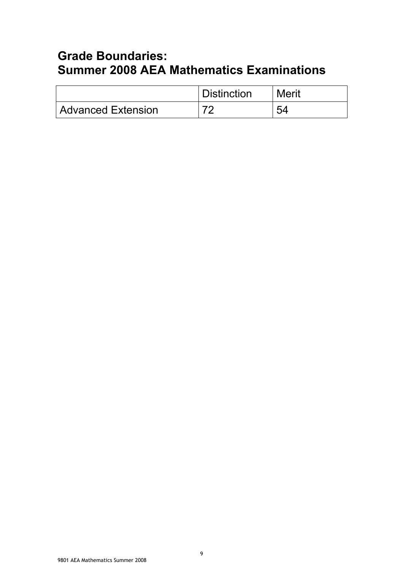## **Grade Boundaries: Summer 2008 AEA Mathematics Examinations**

|                           | <b>Distinction</b> | Merit |
|---------------------------|--------------------|-------|
| <b>Advanced Extension</b> |                    | ς∠    |